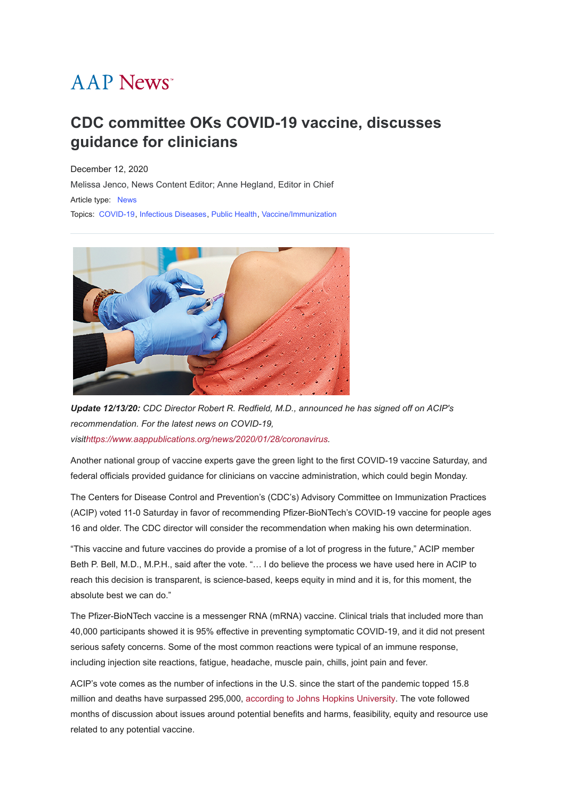# **AAP News**<sup>\*</sup>

# **CDC committee OKs COVID-19 vaccine, discusses guidance for clinicians**

December 12, 2020 [Melissa Jenco, News Content Editor; Anne Hegland, Editor in Chief](javascript:;) Article type: [News](https://publications.aap.org/aapnews/search-results?f_ArticleTypeDisplayName=News&fl_SiteID=1000011) Topics: [COVID-19](https://publications.aap.org/aapnews/search-results?f_FacetCategoryIDs_1=2014&fl_SiteID=1000011), [Infectious Diseases](https://publications.aap.org/aapnews/search-results?f_FacetCategoryIDs_1=159&fl_SiteID=1000011), [Public Health](https://publications.aap.org/aapnews/search-results?f_FacetCategoryIDs_1=213&fl_SiteID=1000011), [Vaccine/Immunization](https://publications.aap.org/aapnews/search-results?f_FacetCategoryIDs_1=309&fl_SiteID=1000011)



*Update 12/13/20: CDC Director Robert R. Redfield, M.D., announced he has signed off on ACIP's recommendation. For the latest news on COVID-19, visit<https://www.aappublications.org/news/2020/01/28/coronavirus>.*

Another national group of vaccine experts gave the green light to the first COVID-19 vaccine Saturday, and federal officials provided guidance for clinicians on vaccine administration, which could begin Monday.

The Centers for Disease Control and Prevention's (CDC's) Advisory Committee on Immunization Practices (ACIP) voted 11-0 Saturday in favor of recommending Pfizer-BioNTech's COVID-19 vaccine for people ages 16 and older. The CDC director will consider the recommendation when making his own determination.

"This vaccine and future vaccines do provide a promise of a lot of progress in the future," ACIP member Beth P. Bell, M.D., M.P.H., said after the vote. "… I do believe the process we have used here in ACIP to reach this decision is transparent, is science-based, keeps equity in mind and it is, for this moment, the absolute best we can do."

The Pfizer-BioNTech vaccine is a messenger RNA (mRNA) vaccine. Clinical trials that included more than 40,000 participants showed it is 95% effective in preventing symptomatic COVID-19, and it did not present serious safety concerns. Some of the most common reactions were typical of an immune response, including injection site reactions, fatigue, headache, muscle pain, chills, joint pain and fever.

ACIP's vote comes as the number of infections in the U.S. since the start of the pandemic topped 15.8 million and deaths have surpassed 295,000, [according to Johns Hopkins University.](https://coronavirus.jhu.edu/map.html) The vote followed months of discussion about issues around potential benefits and harms, feasibility, equity and resource use related to any potential vaccine.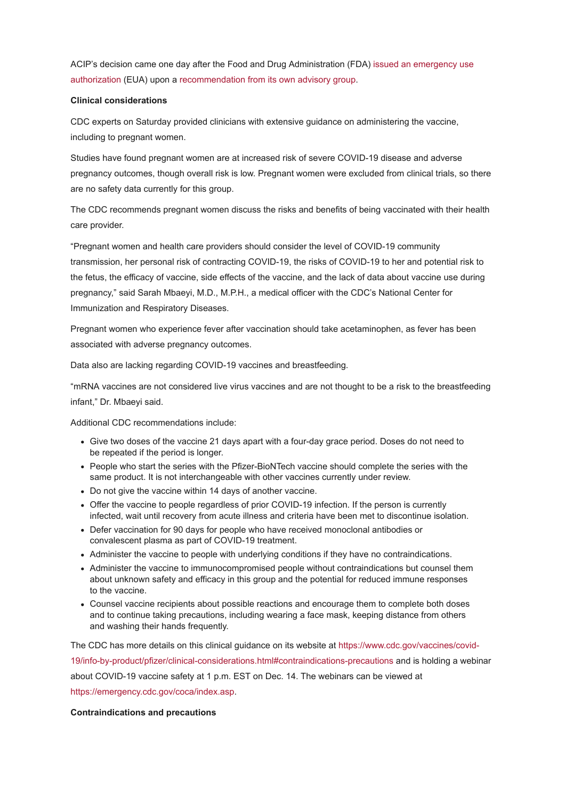[ACIP's decision came one day after the Food and Drug Administration \(FDA\) issued an emergency use](https://www.fda.gov/news-events/press-announcements/fda-takes-key-action-fight-against-covid-19-issuing-emergency-use-authorization-first-covid-19) authorization (EUA) upon a [recommendation from its own advisory group.](https://www.aappublications.org/news/2020/12/10/vrbpac-pfizer-vaccine-121020)

# **Clinical considerations**

CDC experts on Saturday provided clinicians with extensive guidance on administering the vaccine, including to pregnant women.

Studies have found pregnant women are at increased risk of severe COVID-19 disease and adverse pregnancy outcomes, though overall risk is low. Pregnant women were excluded from clinical trials, so there are no safety data currently for this group.

The CDC recommends pregnant women discuss the risks and benefits of being vaccinated with their health care provider.

"Pregnant women and health care providers should consider the level of COVID-19 community transmission, her personal risk of contracting COVID-19, the risks of COVID-19 to her and potential risk to the fetus, the efficacy of vaccine, side effects of the vaccine, and the lack of data about vaccine use during pregnancy," said Sarah Mbaeyi, M.D., M.P.H., a medical officer with the CDC's National Center for Immunization and Respiratory Diseases.

Pregnant women who experience fever after vaccination should take acetaminophen, as fever has been associated with adverse pregnancy outcomes.

Data also are lacking regarding COVID-19 vaccines and breastfeeding.

"mRNA vaccines are not considered live virus vaccines and are not thought to be a risk to the breastfeeding infant," Dr. Mbaeyi said.

Additional CDC recommendations include:

- Give two doses of the vaccine 21 days apart with a four-day grace period. Doses do not need to be repeated if the period is longer.
- People who start the series with the Pfizer-BioNTech vaccine should complete the series with the same product. It is not interchangeable with other vaccines currently under review.
- Do not give the vaccine within 14 days of another vaccine.
- Offer the vaccine to people regardless of prior COVID-19 infection. If the person is currently infected, wait until recovery from acute illness and criteria have been met to discontinue isolation.
- Defer vaccination for 90 days for people who have received monoclonal antibodies or convalescent plasma as part of COVID-19 treatment.
- Administer the vaccine to people with underlying conditions if they have no contraindications.
- Administer the vaccine to immunocompromised people without contraindications but counsel them about unknown safety and efficacy in this group and the potential for reduced immune responses to the vaccine.
- Counsel vaccine recipients about possible reactions and encourage them to complete both doses and to continue taking precautions, including wearing a face mask, keeping distance from others and washing their hands frequently.

[The CDC has more details on this clinical guidance on its website at https://www.cdc.gov/vaccines/covid-](https://www.cdc.gov/vaccines/covid-19/info-by-product/pfizer/clinical-considerations.html#contraindications-precautions)19/info-by-product/pfizer/clinical-considerations.html#contraindications-precautions and is holding a webinar about COVID-19 vaccine safety at 1 p.m. EST on Dec. 14. The webinars can be viewed at [https://emergency.cdc.gov/coca/index.asp.](https://emergency.cdc.gov/coca/index.asp)

#### **Contraindications and precautions**